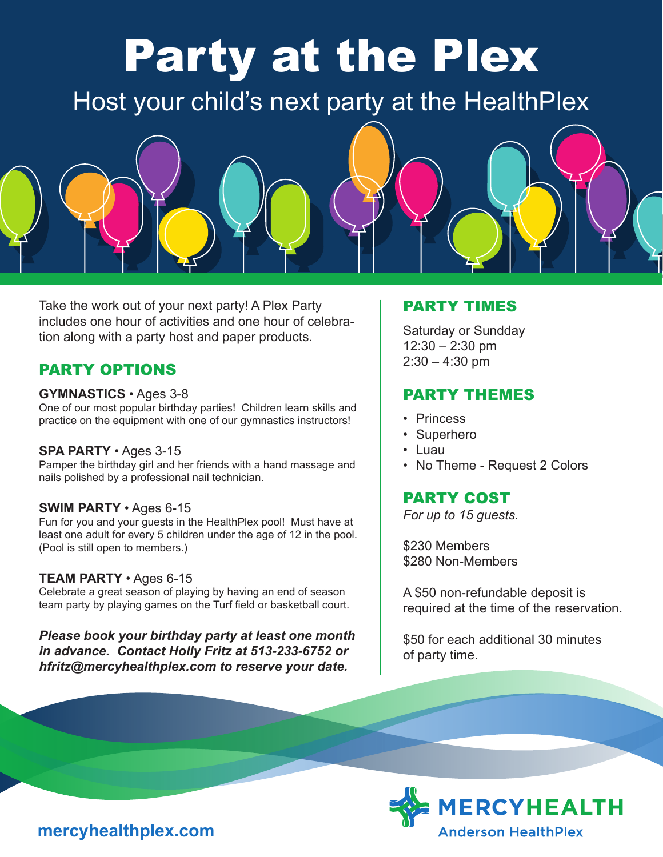# Party at the Plex

Host your child's next party at the HealthPlex



Take the work out of your next party! A Plex Party includes one hour of activities and one hour of celebration along with a party host and paper products.

## PARTY OPTIONS

#### **GYMNASTICS** • Ages 3-8

One of our most popular birthday parties! Children learn skills and practice on the equipment with one of our gymnastics instructors!

#### **SPA PARTY** • Ages 3-15

Pamper the birthday girl and her friends with a hand massage and nails polished by a professional nail technician.

#### **SWIM PARTY** • Ages 6-15

Fun for you and your guests in the HealthPlex pool! Must have at least one adult for every 5 children under the age of 12 in the pool. (Pool is still open to members.)

#### **TEAM PARTY** • Ages 6-15

Celebrate a great season of playing by having an end of season team party by playing games on the Turf field or basketball court.

*Please book your birthday party at least one month in advance. Contact Holly Fritz at 513-233-6752 or hfritz@mercyhealthplex.com to reserve your date.*

#### PARTY TIMES

Saturday or Sundday  $12:30 - 2:30$  pm  $2:30 - 4:30$  pm

### PARTY THEMES

- Princess
- Superhero
- Luau
- No Theme Request 2 Colors

# PARTY COST

*For up to 15 guests.*

\$230 Members \$280 Non-Members

A \$50 non-refundable deposit is required at the time of the reservation.

\$50 for each additional 30 minutes of party time.



# **mercyhealthplex.com**